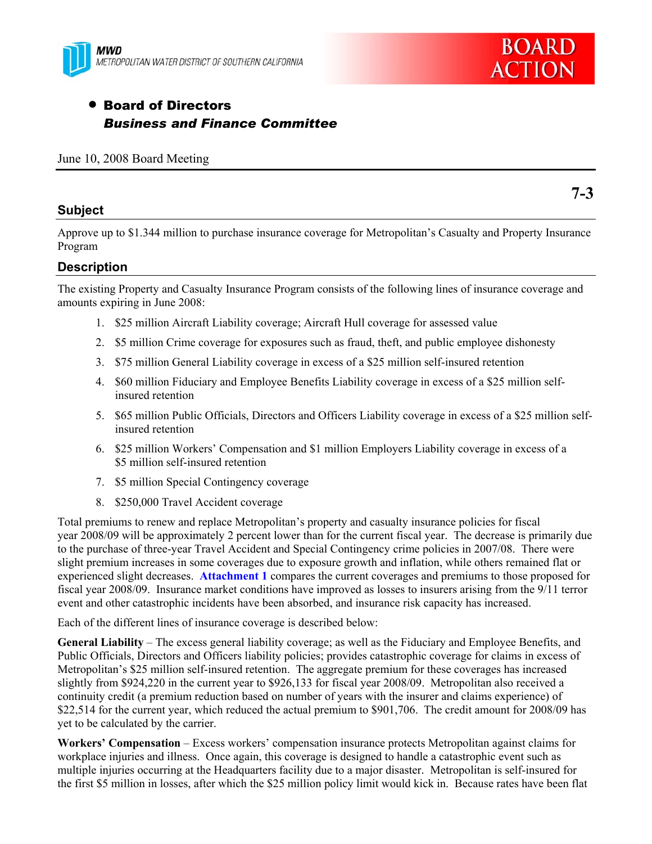



**7-3** 

# • Board of Directors *Business and Finance Committee*

### **Subject**

Approve up to \$1.344 million to purchase insurance coverage for Metropolitan's Casualty and Property Insurance Program

# **Description**

The existing Property and Casualty Insurance Program consists of the following lines of insurance coverage and amounts expiring in June 2008:

- 1. \$25 million Aircraft Liability coverage; Aircraft Hull coverage for assessed value
- 2. \$5 million Crime coverage for exposures such as fraud, theft, and public employee dishonesty
- 3. \$75 million General Liability coverage in excess of a \$25 million self-insured retention
- 4. \$60 million Fiduciary and Employee Benefits Liability coverage in excess of a \$25 million selfinsured retention
- 5. \$65 million Public Officials, Directors and Officers Liability coverage in excess of a \$25 million selfinsured retention
- 6. \$25 million Workers' Compensation and \$1 million Employers Liability coverage in excess of a \$5 million self-insured retention
- 7. \$5 million Special Contingency coverage
- 8. \$250,000 Travel Accident coverage

Total premiums to renew and replace Metropolitan's property and casualty insurance policies for fiscal year 2008/09 will be approximately 2 percent lower than for the current fiscal year. The decrease is primarily due to the purchase of three-year Travel Accident and Special Contingency crime policies in 2007/08. There were slight premium increases in some coverages due to exposure growth and inflation, while others remained flat or experienced slight decreases. **Attachment 1** compares the current coverages and premiums to those proposed for fiscal year 2008/09. Insurance market conditions have improved as losses to insurers arising from the 9/11 terror event and other catastrophic incidents have been absorbed, and insurance risk capacity has increased.

Each of the different lines of insurance coverage is described below:

**General Liability** – The excess general liability coverage; as well as the Fiduciary and Employee Benefits, and Public Officials, Directors and Officers liability policies; provides catastrophic coverage for claims in excess of Metropolitan's \$25 million self-insured retention. The aggregate premium for these coverages has increased slightly from \$924,220 in the current year to \$926,133 for fiscal year 2008/09. Metropolitan also received a continuity credit (a premium reduction based on number of years with the insurer and claims experience) of \$22,514 for the current year, which reduced the actual premium to \$901,706. The credit amount for 2008/09 has yet to be calculated by the carrier.

**Workers' Compensation** – Excess workers' compensation insurance protects Metropolitan against claims for workplace injuries and illness. Once again, this coverage is designed to handle a catastrophic event such as multiple injuries occurring at the Headquarters facility due to a major disaster. Metropolitan is self-insured for the first \$5 million in losses, after which the \$25 million policy limit would kick in. Because rates have been flat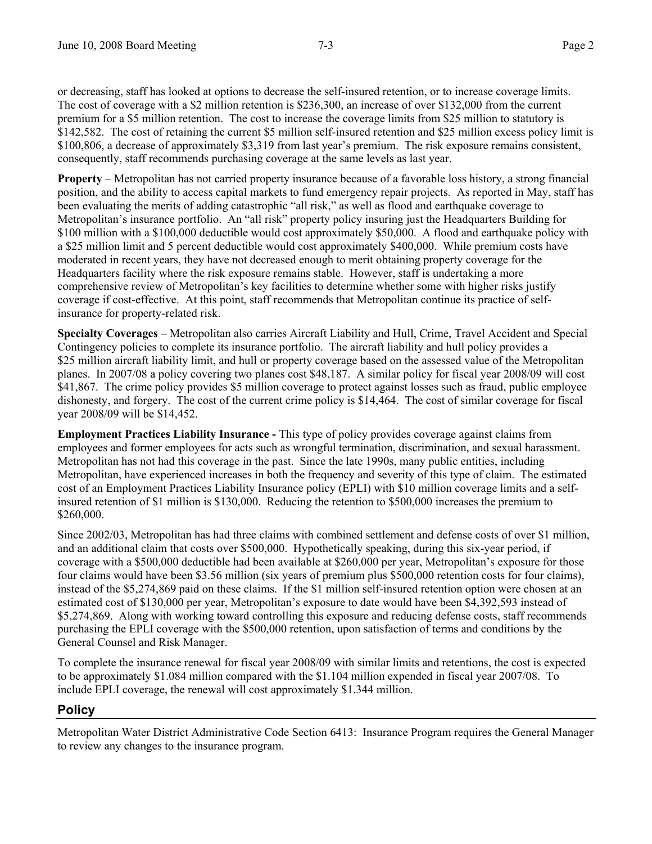or decreasing, staff has looked at options to decrease the self-insured retention, or to increase coverage limits. The cost of coverage with a \$2 million retention is \$236,300, an increase of over \$132,000 from the current premium for a \$5 million retention. The cost to increase the coverage limits from \$25 million to statutory is \$142,582. The cost of retaining the current \$5 million self-insured retention and \$25 million excess policy limit is \$100,806, a decrease of approximately \$3,319 from last year's premium. The risk exposure remains consistent, consequently, staff recommends purchasing coverage at the same levels as last year.

**Property** – Metropolitan has not carried property insurance because of a favorable loss history, a strong financial position, and the ability to access capital markets to fund emergency repair projects. As reported in May, staff has been evaluating the merits of adding catastrophic "all risk," as well as flood and earthquake coverage to Metropolitan's insurance portfolio. An "all risk" property policy insuring just the Headquarters Building for \$100 million with a \$100,000 deductible would cost approximately \$50,000. A flood and earthquake policy with a \$25 million limit and 5 percent deductible would cost approximately \$400,000. While premium costs have moderated in recent years, they have not decreased enough to merit obtaining property coverage for the Headquarters facility where the risk exposure remains stable. However, staff is undertaking a more comprehensive review of Metropolitan's key facilities to determine whether some with higher risks justify coverage if cost-effective. At this point, staff recommends that Metropolitan continue its practice of selfinsurance for property-related risk.

**Specialty Coverages** – Metropolitan also carries Aircraft Liability and Hull, Crime, Travel Accident and Special Contingency policies to complete its insurance portfolio. The aircraft liability and hull policy provides a \$25 million aircraft liability limit, and hull or property coverage based on the assessed value of the Metropolitan planes. In 2007/08 a policy covering two planes cost \$48,187. A similar policy for fiscal year 2008/09 will cost \$41,867. The crime policy provides \$5 million coverage to protect against losses such as fraud, public employee dishonesty, and forgery. The cost of the current crime policy is \$14,464. The cost of similar coverage for fiscal year 2008/09 will be \$14,452.

**Employment Practices Liability Insurance -** This type of policy provides coverage against claims from employees and former employees for acts such as wrongful termination, discrimination, and sexual harassment. Metropolitan has not had this coverage in the past. Since the late 1990s, many public entities, including Metropolitan, have experienced increases in both the frequency and severity of this type of claim. The estimated cost of an Employment Practices Liability Insurance policy (EPLI) with \$10 million coverage limits and a selfinsured retention of \$1 million is \$130,000. Reducing the retention to \$500,000 increases the premium to \$260,000.

Since 2002/03, Metropolitan has had three claims with combined settlement and defense costs of over \$1 million, and an additional claim that costs over \$500,000. Hypothetically speaking, during this six-year period, if coverage with a \$500,000 deductible had been available at \$260,000 per year, Metropolitan's exposure for those four claims would have been \$3.56 million (six years of premium plus \$500,000 retention costs for four claims), instead of the \$5,274,869 paid on these claims. If the \$1 million self-insured retention option were chosen at an estimated cost of \$130,000 per year, Metropolitan's exposure to date would have been \$4,392,593 instead of \$5,274,869. Along with working toward controlling this exposure and reducing defense costs, staff recommends purchasing the EPLI coverage with the \$500,000 retention, upon satisfaction of terms and conditions by the General Counsel and Risk Manager.

To complete the insurance renewal for fiscal year 2008/09 with similar limits and retentions, the cost is expected to be approximately \$1.084 million compared with the \$1.104 million expended in fiscal year 2007/08. To include EPLI coverage, the renewal will cost approximately \$1.344 million.

# **Policy**

Metropolitan Water District Administrative Code Section 6413: Insurance Program requires the General Manager to review any changes to the insurance program.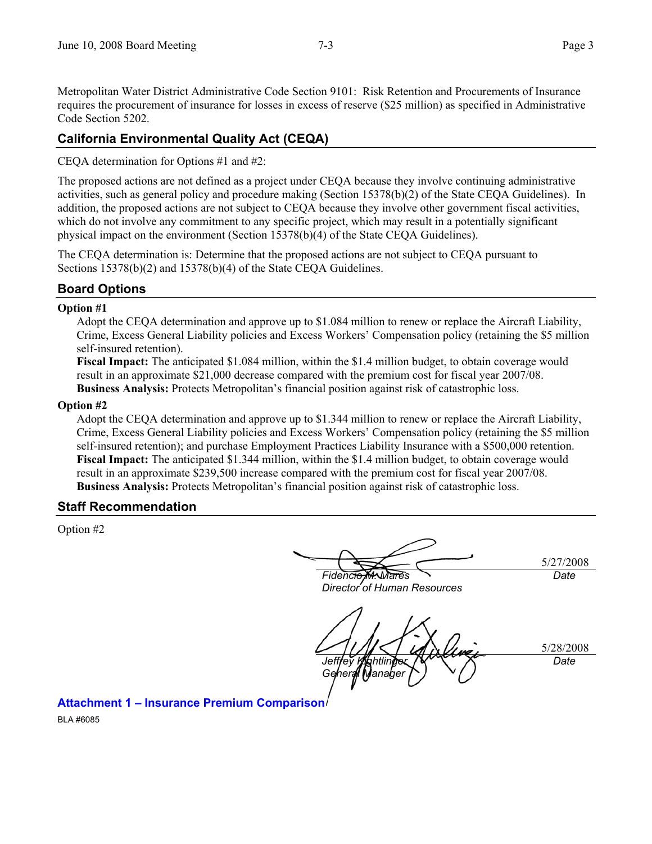Metropolitan Water District Administrative Code Section 9101: Risk Retention and Procurements of Insurance requires the procurement of insurance for losses in excess of reserve (\$25 million) as specified in Administrative Code Section 5202.

# **California Environmental Quality Act (CEQA)**

CEQA determination for Options #1 and #2:

The proposed actions are not defined as a project under CEQA because they involve continuing administrative activities, such as general policy and procedure making (Section 15378(b)(2) of the State CEQA Guidelines). In addition, the proposed actions are not subject to CEQA because they involve other government fiscal activities, which do not involve any commitment to any specific project, which may result in a potentially significant physical impact on the environment (Section 15378(b)(4) of the State CEQA Guidelines).

The CEQA determination is: Determine that the proposed actions are not subject to CEQA pursuant to Sections 15378(b)(2) and 15378(b)(4) of the State CEQA Guidelines.

# **Board Options**

### **Option #1**

Adopt the CEQA determination and approve up to \$1.084 million to renew or replace the Aircraft Liability, Crime, Excess General Liability policies and Excess Workers' Compensation policy (retaining the \$5 million self-insured retention).

**Fiscal Impact:** The anticipated \$1.084 million, within the \$1.4 million budget, to obtain coverage would result in an approximate \$21,000 decrease compared with the premium cost for fiscal year 2007/08. **Business Analysis:** Protects Metropolitan's financial position against risk of catastrophic loss.

#### **Option #2**

Adopt the CEQA determination and approve up to \$1.344 million to renew or replace the Aircraft Liability, Crime, Excess General Liability policies and Excess Workers' Compensation policy (retaining the \$5 million self-insured retention); and purchase Employment Practices Liability Insurance with a \$500,000 retention. **Fiscal Impact:** The anticipated \$1.344 million, within the \$1.4 million budget, to obtain coverage would result in an approximate \$239,500 increase compared with the premium cost for fiscal year 2007/08. **Business Analysis:** Protects Metropolitan's financial position against risk of catastrophic loss.

### **Staff Recommendation**

Option #2

5/27/2008 *Fidencio M. Mares Date* 

*Director of Human Resources* 

5/28/2008 Jeff**rev Kilo**htlin *General Manage Date* 

**Attachment 1 – Insurance Premium Comparison** 

BLA #6085